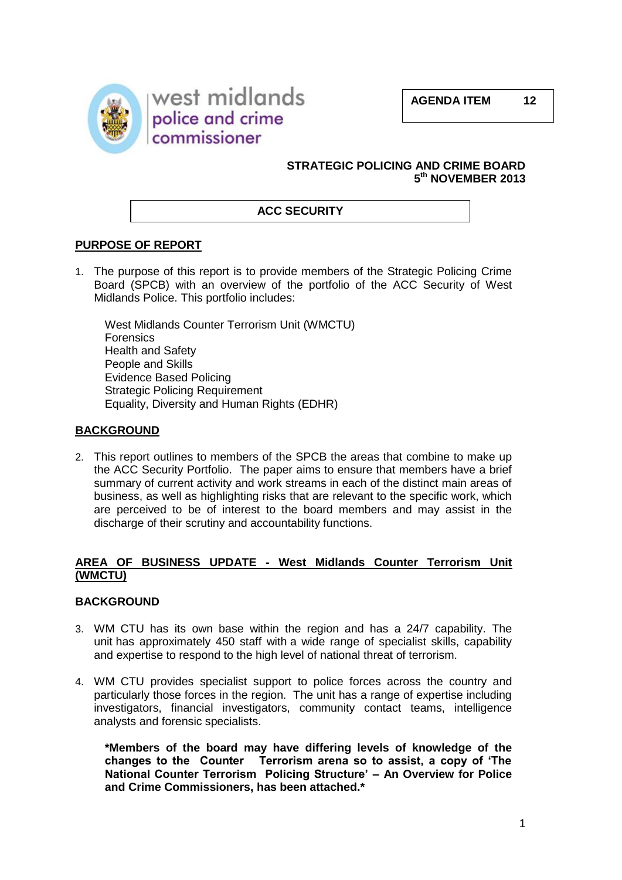**AGENDA ITEM 12**





### **STRATEGIC POLICING AND CRIME BOARD 5 th NOVEMBER 2013**

## **ACC SECURITY**

## **PURPOSE OF REPORT**

1. The purpose of this report is to provide members of the Strategic Policing Crime Board (SPCB) with an overview of the portfolio of the ACC Security of West Midlands Police. This portfolio includes:

West Midlands Counter Terrorism Unit (WMCTU) **Forensics** Health and Safety People and Skills Evidence Based Policing Strategic Policing Requirement Equality, Diversity and Human Rights (EDHR)

## **BACKGROUND**

2. This report outlines to members of the SPCB the areas that combine to make up the ACC Security Portfolio. The paper aims to ensure that members have a brief summary of current activity and work streams in each of the distinct main areas of business, as well as highlighting risks that are relevant to the specific work, which are perceived to be of interest to the board members and may assist in the discharge of their scrutiny and accountability functions.

### **AREA OF BUSINESS UPDATE - West Midlands Counter Terrorism Unit (WMCTU)**

## **BACKGROUND**

- 3. WM CTU has its own base within the region and has a 24/7 capability. The unit has approximately 450 staff with a wide range of specialist skills, capability and expertise to respond to the high level of national threat of terrorism.
- 4. WM CTU provides specialist support to police forces across the country and particularly those forces in the region. The unit has a range of expertise including investigators, financial investigators, community contact teams, intelligence analysts and forensic specialists.

**\*Members of the board may have differing levels of knowledge of the changes to the Counter Terrorism arena so to assist, a copy of 'The National Counter Terrorism Policing Structure' – An Overview for Police and Crime Commissioners, has been attached.\***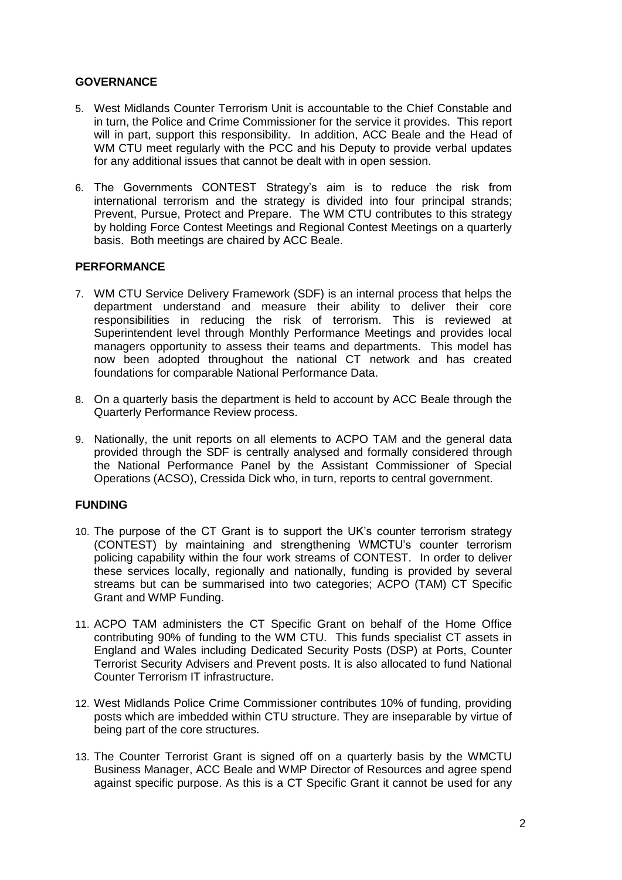## **GOVERNANCE**

- 5. West Midlands Counter Terrorism Unit is accountable to the Chief Constable and in turn, the Police and Crime Commissioner for the service it provides. This report will in part, support this responsibility. In addition, ACC Beale and the Head of WM CTU meet regularly with the PCC and his Deputy to provide verbal updates for any additional issues that cannot be dealt with in open session.
- 6. The Governments CONTEST Strategy's aim is to reduce the risk from international terrorism and the strategy is divided into four principal strands; Prevent, Pursue, Protect and Prepare. The WM CTU contributes to this strategy by holding Force Contest Meetings and Regional Contest Meetings on a quarterly basis. Both meetings are chaired by ACC Beale.

## **PERFORMANCE**

- 7. WM CTU Service Delivery Framework (SDF) is an internal process that helps the department understand and measure their ability to deliver their core responsibilities in reducing the risk of terrorism. This is reviewed at Superintendent level through Monthly Performance Meetings and provides local managers opportunity to assess their teams and departments. This model has now been adopted throughout the national CT network and has created foundations for comparable National Performance Data.
- 8. On a quarterly basis the department is held to account by ACC Beale through the Quarterly Performance Review process.
- 9. Nationally, the unit reports on all elements to ACPO TAM and the general data provided through the SDF is centrally analysed and formally considered through the National Performance Panel by the Assistant Commissioner of Special Operations (ACSO), Cressida Dick who, in turn, reports to central government.

## **FUNDING**

- 10. The purpose of the CT Grant is to support the UK's counter terrorism strategy (CONTEST) by maintaining and strengthening WMCTU's counter terrorism policing capability within the four work streams of CONTEST. In order to deliver these services locally, regionally and nationally, funding is provided by several streams but can be summarised into two categories; ACPO (TAM) CT Specific Grant and WMP Funding.
- 11. ACPO TAM administers the CT Specific Grant on behalf of the Home Office contributing 90% of funding to the WM CTU. This funds specialist CT assets in England and Wales including Dedicated Security Posts (DSP) at Ports, Counter Terrorist Security Advisers and Prevent posts. It is also allocated to fund National Counter Terrorism IT infrastructure.
- 12. West Midlands Police Crime Commissioner contributes 10% of funding, providing posts which are imbedded within CTU structure. They are inseparable by virtue of being part of the core structures.
- 13. The Counter Terrorist Grant is signed off on a quarterly basis by the WMCTU Business Manager, ACC Beale and WMP Director of Resources and agree spend against specific purpose. As this is a CT Specific Grant it cannot be used for any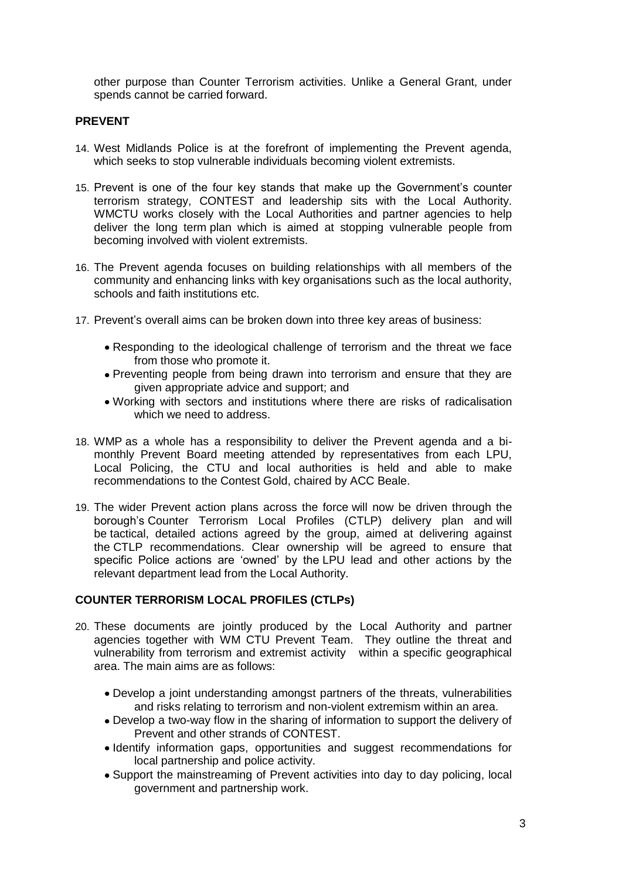other purpose than Counter Terrorism activities. Unlike a General Grant, under spends cannot be carried forward.

## **PREVENT**

- 14. West Midlands Police is at the forefront of implementing the Prevent agenda, which seeks to stop vulnerable individuals becoming violent extremists.
- 15. Prevent is one of the four key stands that make up the Government's counter terrorism strategy, CONTEST and leadership sits with the Local Authority. WMCTU works closely with the Local Authorities and partner agencies to help deliver the long term plan which is aimed at stopping vulnerable people from becoming involved with violent extremists.
- 16. The Prevent agenda focuses on building relationships with all members of the community and enhancing links with key organisations such as the local authority, schools and faith institutions etc.
- 17. Prevent's overall aims can be broken down into three key areas of business:
	- Responding to the ideological challenge of terrorism and the threat we face from those who promote it.
	- Preventing people from being drawn into terrorism and ensure that they are given appropriate advice and support; and
	- Working with sectors and institutions where there are risks of radicalisation which we need to address.
- 18. WMP as a whole has a responsibility to deliver the Prevent agenda and a bimonthly Prevent Board meeting attended by representatives from each LPU, Local Policing, the CTU and local authorities is held and able to make recommendations to the Contest Gold, chaired by ACC Beale.
- 19. The wider Prevent action plans across the force will now be driven through the borough's Counter Terrorism Local Profiles (CTLP) delivery plan and will be tactical, detailed actions agreed by the group, aimed at delivering against the CTLP recommendations. Clear ownership will be agreed to ensure that specific Police actions are 'owned' by the LPU lead and other actions by the relevant department lead from the Local Authority.

## **COUNTER TERRORISM LOCAL PROFILES (CTLPs)**

- 20. These documents are jointly produced by the Local Authority and partner agencies together with WM CTU Prevent Team. They outline the threat and vulnerability from terrorism and extremist activity within a specific geographical area. The main aims are as follows:
	- Develop a joint understanding amongst partners of the threats, vulnerabilities and risks relating to terrorism and non-violent extremism within an area.
	- Develop a two-way flow in the sharing of information to support the delivery of Prevent and other strands of CONTEST.
	- Identify information gaps, opportunities and suggest recommendations for local partnership and police activity.
	- Support the mainstreaming of Prevent activities into day to day policing, local government and partnership work.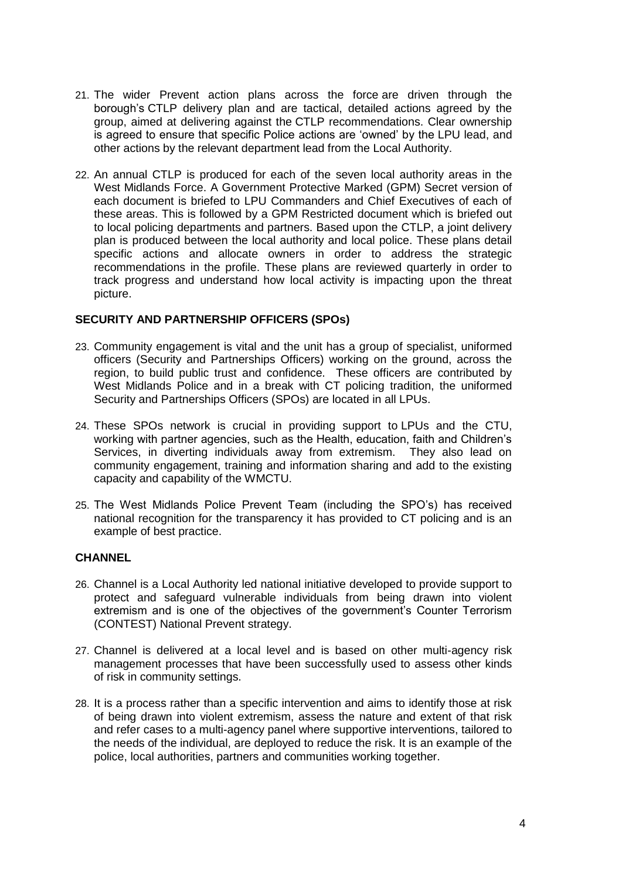- 21. The wider Prevent action plans across the force are driven through the borough's CTLP delivery plan and are tactical, detailed actions agreed by the group, aimed at delivering against the CTLP recommendations. Clear ownership is agreed to ensure that specific Police actions are 'owned' by the LPU lead, and other actions by the relevant department lead from the Local Authority.
- 22. An annual CTLP is produced for each of the seven local authority areas in the West Midlands Force. A Government Protective Marked (GPM) Secret version of each document is briefed to LPU Commanders and Chief Executives of each of these areas. This is followed by a GPM Restricted document which is briefed out to local policing departments and partners. Based upon the CTLP, a joint delivery plan is produced between the local authority and local police. These plans detail specific actions and allocate owners in order to address the strategic recommendations in the profile. These plans are reviewed quarterly in order to track progress and understand how local activity is impacting upon the threat picture.

### **SECURITY AND PARTNERSHIP OFFICERS (SPOs)**

- 23. Community engagement is vital and the unit has a group of specialist, uniformed officers (Security and Partnerships Officers) working on the ground, across the region, to build public trust and confidence. These officers are contributed by West Midlands Police and in a break with CT policing tradition, the uniformed Security and Partnerships Officers (SPOs) are located in all LPUs.
- 24. These SPOs network is crucial in providing support to LPUs and the CTU, working with partner agencies, such as the Health, education, faith and Children's Services, in diverting individuals away from extremism. They also lead on community engagement, training and information sharing and add to the existing capacity and capability of the WMCTU.
- 25. The West Midlands Police Prevent Team (including the SPO's) has received national recognition for the transparency it has provided to CT policing and is an example of best practice.

#### **CHANNEL**

- 26. Channel is a Local Authority led national initiative developed to provide support to protect and safeguard vulnerable individuals from being drawn into violent extremism and is one of the objectives of the government's Counter Terrorism (CONTEST) National Prevent strategy.
- 27. Channel is delivered at a local level and is based on other multi-agency risk management processes that have been successfully used to assess other kinds of risk in community settings.
- 28. It is a process rather than a specific intervention and aims to identify those at risk of being drawn into violent extremism, assess the nature and extent of that risk and refer cases to a multi-agency panel where supportive interventions, tailored to the needs of the individual, are deployed to reduce the risk. It is an example of the police, local authorities, partners and communities working together.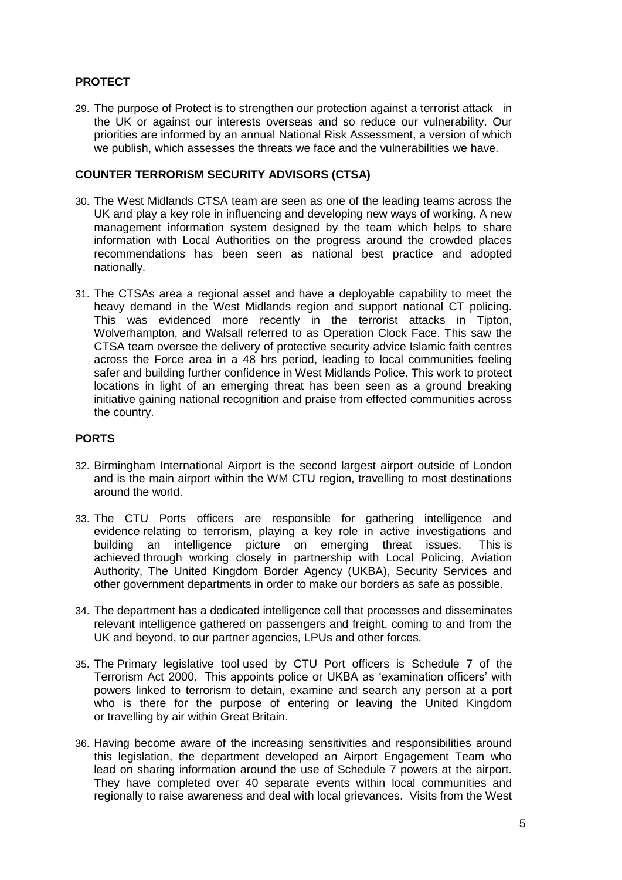# **PROTECT**

29. The purpose of Protect is to strengthen our protection against a terrorist attack in the UK or against our interests overseas and so reduce our vulnerability. Our priorities are informed by an annual National Risk Assessment, a version of which we publish, which assesses the threats we face and the vulnerabilities we have.

## **COUNTER TERRORISM SECURITY ADVISORS (CTSA)**

- 30. The West Midlands CTSA team are seen as one of the leading teams across the UK and play a key role in influencing and developing new ways of working. A new management information system designed by the team which helps to share information with Local Authorities on the progress around the crowded places recommendations has been seen as national best practice and adopted nationally.
- 31. The CTSAs area a regional asset and have a deployable capability to meet the heavy demand in the West Midlands region and support national CT policing. This was evidenced more recently in the terrorist attacks in Tipton, Wolverhampton, and Walsall referred to as Operation Clock Face. This saw the CTSA team oversee the delivery of protective security advice Islamic faith centres across the Force area in a 48 hrs period, leading to local communities feeling safer and building further confidence in West Midlands Police. This work to protect locations in light of an emerging threat has been seen as a ground breaking initiative gaining national recognition and praise from effected communities across the country.

### **PORTS**

- 32. Birmingham International Airport is the second largest airport outside of London and is the main airport within the WM CTU region, travelling to most destinations around the world.
- 33. The CTU Ports officers are responsible for gathering intelligence and evidence relating to terrorism, playing a key role in active investigations and building an intelligence picture on emerging threat issues. This is achieved through working closely in partnership with Local Policing, Aviation Authority, The United Kingdom Border Agency (UKBA), Security Services and other government departments in order to make our borders as safe as possible.
- 34. The department has a dedicated intelligence cell that processes and disseminates relevant intelligence gathered on passengers and freight, coming to and from the UK and beyond, to our partner agencies, LPUs and other forces.
- 35. The Primary legislative tool used by CTU Port officers is Schedule 7 of the Terrorism Act 2000. This appoints police or UKBA as 'examination officers' with powers linked to terrorism to detain, examine and search any person at a port who is there for the purpose of entering or leaving the United Kingdom or travelling by air within Great Britain.
- 36. Having become aware of the increasing sensitivities and responsibilities around this legislation, the department developed an Airport Engagement Team who lead on sharing information around the use of Schedule 7 powers at the airport. They have completed over 40 separate events within local communities and regionally to raise awareness and deal with local grievances. Visits from the West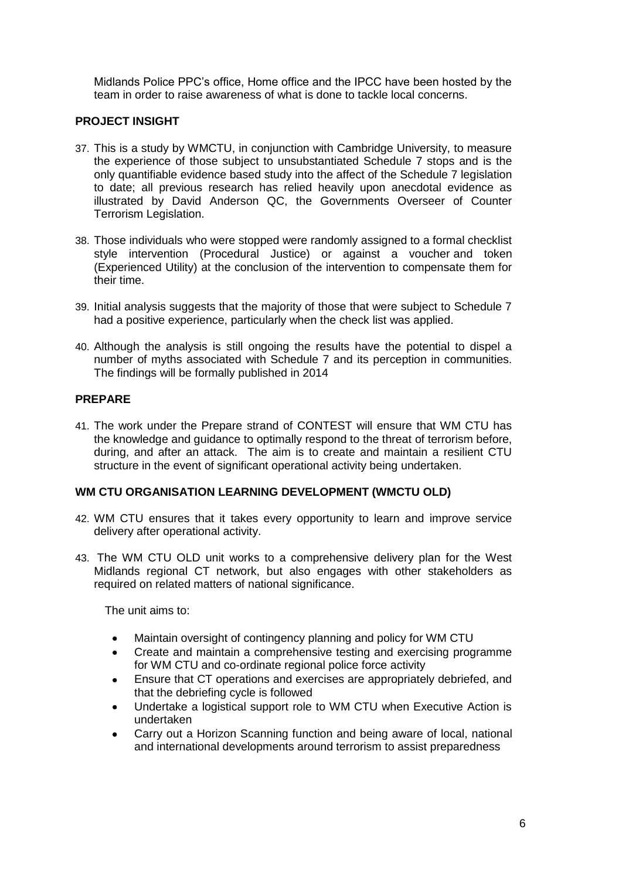Midlands Police PPC's office, Home office and the IPCC have been hosted by the team in order to raise awareness of what is done to tackle local concerns.

## **PROJECT INSIGHT**

- 37. This is a study by WMCTU, in conjunction with Cambridge University, to measure the experience of those subject to unsubstantiated Schedule 7 stops and is the only quantifiable evidence based study into the affect of the Schedule 7 legislation to date; all previous research has relied heavily upon anecdotal evidence as illustrated by David Anderson QC, the Governments Overseer of Counter Terrorism Legislation.
- 38. Those individuals who were stopped were randomly assigned to a formal checklist style intervention (Procedural Justice) or against a voucher and token (Experienced Utility) at the conclusion of the intervention to compensate them for their time.
- 39. Initial analysis suggests that the majority of those that were subject to Schedule 7 had a positive experience, particularly when the check list was applied.
- 40. Although the analysis is still ongoing the results have the potential to dispel a number of myths associated with Schedule 7 and its perception in communities. The findings will be formally published in 2014

### **PREPARE**

41. The work under the Prepare strand of CONTEST will ensure that WM CTU has the knowledge and guidance to optimally respond to the threat of terrorism before, during, and after an attack. The aim is to create and maintain a resilient CTU structure in the event of significant operational activity being undertaken.

### **WM CTU ORGANISATION LEARNING DEVELOPMENT (WMCTU OLD)**

- 42. WM CTU ensures that it takes every opportunity to learn and improve service delivery after operational activity.
- 43. The WM CTU OLD unit works to a comprehensive delivery plan for the West Midlands regional CT network, but also engages with other stakeholders as required on related matters of national significance.

The unit aims to:

- Maintain oversight of contingency planning and policy for WM CTU  $\bullet$
- Create and maintain a comprehensive testing and exercising programme for WM CTU and co-ordinate regional police force activity
- Ensure that CT operations and exercises are appropriately debriefed, and that the debriefing cycle is followed
- Undertake a logistical support role to WM CTU when Executive Action is undertaken
- Carry out a Horizon Scanning function and being aware of local, national and international developments around terrorism to assist preparedness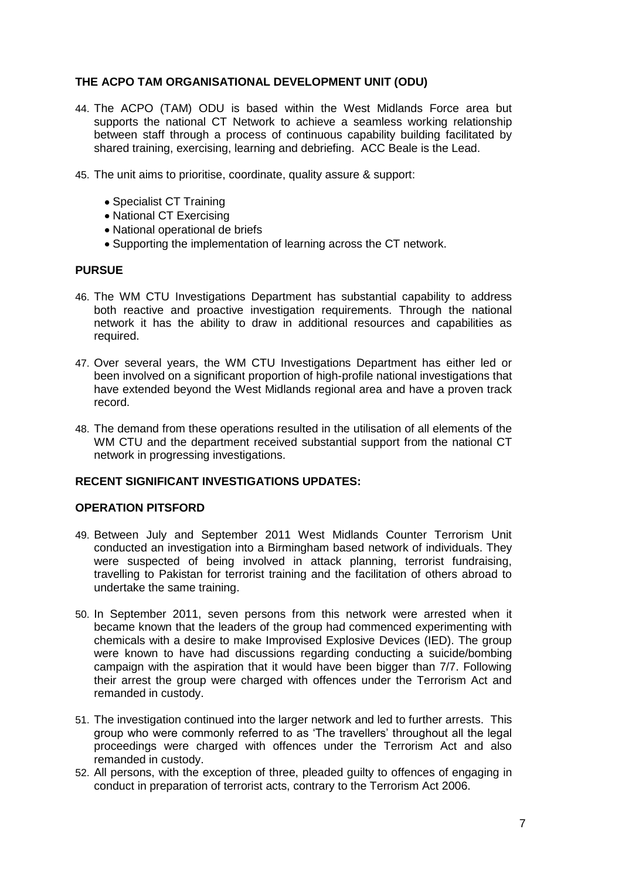## **THE ACPO TAM ORGANISATIONAL DEVELOPMENT UNIT (ODU)**

- 44. The ACPO (TAM) ODU is based within the West Midlands Force area but supports the national CT Network to achieve a seamless working relationship between staff through a process of continuous capability building facilitated by shared training, exercising, learning and debriefing. ACC Beale is the Lead.
- 45. The unit aims to prioritise, coordinate, quality assure & support:
	- Specialist CT Training
	- National CT Exercising
	- National operational de briefs
	- Supporting the implementation of learning across the CT network.

### **PURSUE**

- 46. The WM CTU Investigations Department has substantial capability to address both reactive and proactive investigation requirements. Through the national network it has the ability to draw in additional resources and capabilities as required.
- 47. Over several years, the WM CTU Investigations Department has either led or been involved on a significant proportion of high-profile national investigations that have extended beyond the West Midlands regional area and have a proven track record.
- 48. The demand from these operations resulted in the utilisation of all elements of the WM CTU and the department received substantial support from the national CT network in progressing investigations.

### **RECENT SIGNIFICANT INVESTIGATIONS UPDATES:**

## **OPERATION PITSFORD**

- 49. Between July and September 2011 West Midlands Counter Terrorism Unit conducted an investigation into a Birmingham based network of individuals. They were suspected of being involved in attack planning, terrorist fundraising, travelling to Pakistan for terrorist training and the facilitation of others abroad to undertake the same training.
- 50. In September 2011, seven persons from this network were arrested when it became known that the leaders of the group had commenced experimenting with chemicals with a desire to make Improvised Explosive Devices (IED). The group were known to have had discussions regarding conducting a suicide/bombing campaign with the aspiration that it would have been bigger than 7/7. Following their arrest the group were charged with offences under the Terrorism Act and remanded in custody.
- 51. The investigation continued into the larger network and led to further arrests. This group who were commonly referred to as 'The travellers' throughout all the legal proceedings were charged with offences under the Terrorism Act and also remanded in custody.
- 52. All persons, with the exception of three, pleaded guilty to offences of engaging in conduct in preparation of terrorist acts, contrary to the Terrorism Act 2006.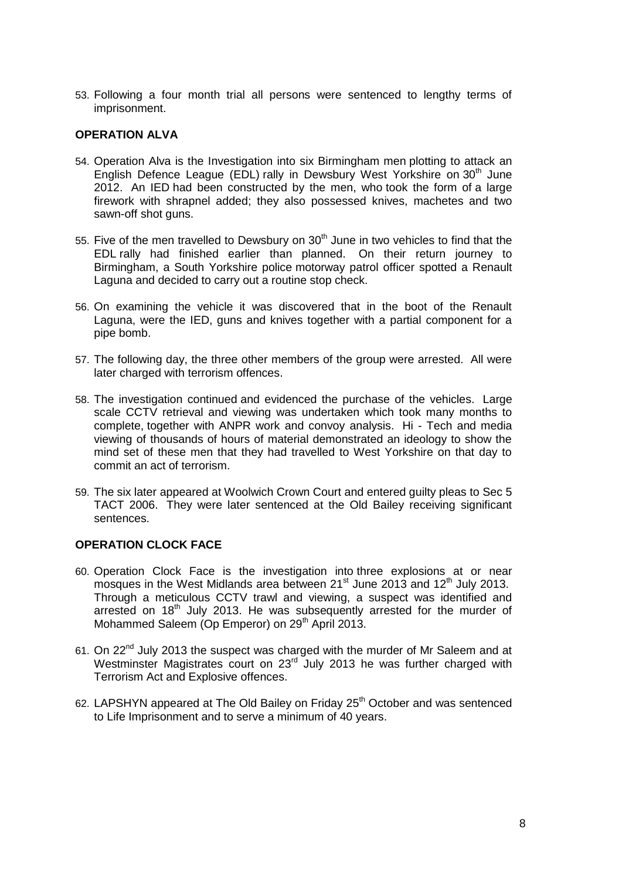53. Following a four month trial all persons were sentenced to lengthy terms of imprisonment.

### **OPERATION ALVA**

- 54. Operation Alva is the Investigation into six Birmingham men plotting to attack an English Defence League (EDL) rally in Dewsbury West Yorkshire on  $30<sup>th</sup>$  June 2012. An IED had been constructed by the men, who took the form of a large firework with shrapnel added; they also possessed knives, machetes and two sawn-off shot guns.
- 55. Five of the men travelled to Dewsbury on 30<sup>th</sup> June in two vehicles to find that the EDL rally had finished earlier than planned. On their return journey to Birmingham, a South Yorkshire police motorway patrol officer spotted a Renault Laguna and decided to carry out a routine stop check.
- 56. On examining the vehicle it was discovered that in the boot of the Renault Laguna, were the IED, guns and knives together with a partial component for a pipe bomb.
- 57. The following day, the three other members of the group were arrested. All were later charged with terrorism offences.
- 58. The investigation continued and evidenced the purchase of the vehicles. Large scale CCTV retrieval and viewing was undertaken which took many months to complete, together with ANPR work and convoy analysis. Hi - Tech and media viewing of thousands of hours of material demonstrated an ideology to show the mind set of these men that they had travelled to West Yorkshire on that day to commit an act of terrorism.
- 59. The six later appeared at Woolwich Crown Court and entered guilty pleas to Sec 5 TACT 2006. They were later sentenced at the Old Bailey receiving significant sentences.

## **OPERATION CLOCK FACE**

- 60. Operation Clock Face is the investigation into three explosions at or near mosques in the West Midlands area between  $21^{st}$  June 2013 and  $12^{th}$  July 2013. Through a meticulous CCTV trawl and viewing, a suspect was identified and arrested on  $18<sup>th</sup>$  July 2013. He was subsequently arrested for the murder of Mohammed Saleem (Op Emperor) on 29<sup>th</sup> April 2013.
- 61. On 22nd July 2013 the suspect was charged with the murder of Mr Saleem and at Westminster Magistrates court on 23<sup>rd</sup> July 2013 he was further charged with Terrorism Act and Explosive offences.
- 62. LAPSHYN appeared at The Old Bailey on Friday 25<sup>th</sup> October and was sentenced to Life Imprisonment and to serve a minimum of 40 years.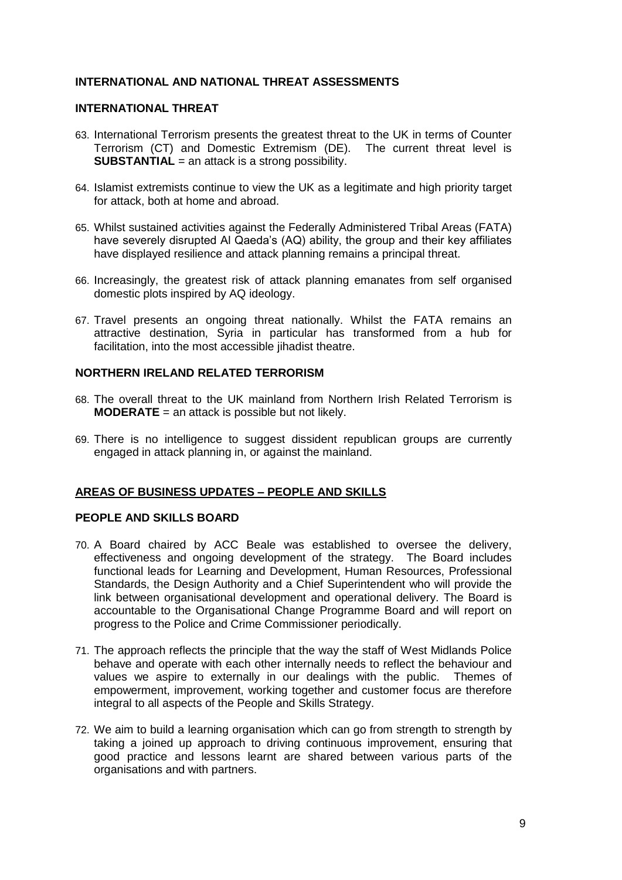## **INTERNATIONAL AND NATIONAL THREAT ASSESSMENTS**

## **INTERNATIONAL THREAT**

- 63. International Terrorism presents the greatest threat to the UK in terms of Counter Terrorism (CT) and Domestic Extremism (DE). The current threat level is **SUBSTANTIAL** = an attack is a strong possibility.
- 64. Islamist extremists continue to view the UK as a legitimate and high priority target for attack, both at home and abroad.
- 65. Whilst sustained activities against the Federally Administered Tribal Areas (FATA) have severely disrupted Al Qaeda's (AQ) ability, the group and their key affiliates have displayed resilience and attack planning remains a principal threat.
- 66. Increasingly, the greatest risk of attack planning emanates from self organised domestic plots inspired by AQ ideology.
- 67. Travel presents an ongoing threat nationally. Whilst the FATA remains an attractive destination, Syria in particular has transformed from a hub for facilitation, into the most accessible jihadist theatre.

### **NORTHERN IRELAND RELATED TERRORISM**

- 68. The overall threat to the UK mainland from Northern Irish Related Terrorism is **MODERATE** = an attack is possible but not likely.
- 69. There is no intelligence to suggest dissident republican groups are currently engaged in attack planning in, or against the mainland.

## **AREAS OF BUSINESS UPDATES – PEOPLE AND SKILLS**

### **PEOPLE AND SKILLS BOARD**

- 70. A Board chaired by ACC Beale was established to oversee the delivery, effectiveness and ongoing development of the strategy. The Board includes functional leads for Learning and Development, Human Resources, Professional Standards, the Design Authority and a Chief Superintendent who will provide the link between organisational development and operational delivery. The Board is accountable to the Organisational Change Programme Board and will report on progress to the Police and Crime Commissioner periodically.
- 71. The approach reflects the principle that the way the staff of West Midlands Police behave and operate with each other internally needs to reflect the behaviour and values we aspire to externally in our dealings with the public. Themes of empowerment, improvement, working together and customer focus are therefore integral to all aspects of the People and Skills Strategy.
- 72. We aim to build a learning organisation which can go from strength to strength by taking a joined up approach to driving continuous improvement, ensuring that good practice and lessons learnt are shared between various parts of the organisations and with partners.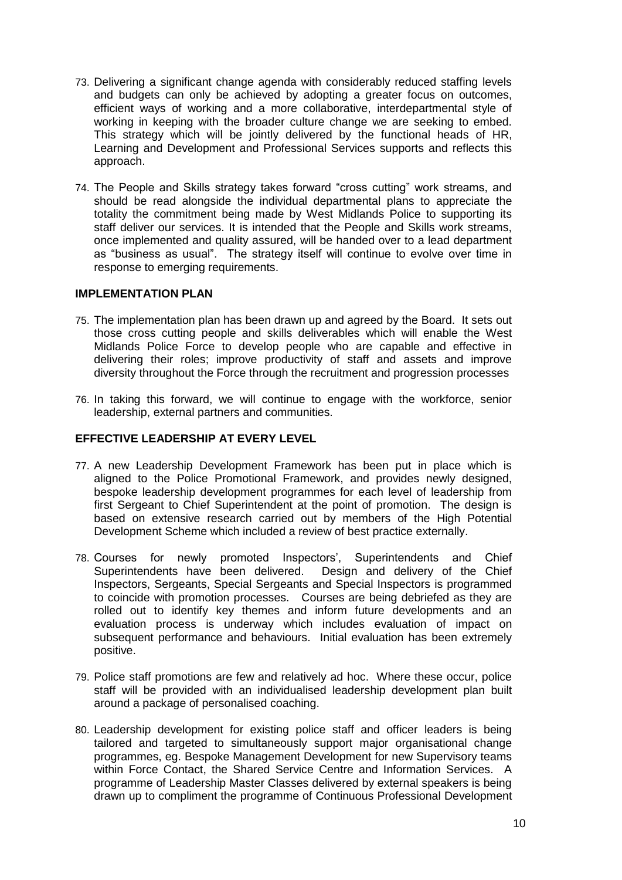- 73. Delivering a significant change agenda with considerably reduced staffing levels and budgets can only be achieved by adopting a greater focus on outcomes, efficient ways of working and a more collaborative, interdepartmental style of working in keeping with the broader culture change we are seeking to embed. This strategy which will be jointly delivered by the functional heads of HR, Learning and Development and Professional Services supports and reflects this approach.
- 74. The People and Skills strategy takes forward "cross cutting" work streams, and should be read alongside the individual departmental plans to appreciate the totality the commitment being made by West Midlands Police to supporting its staff deliver our services. It is intended that the People and Skills work streams, once implemented and quality assured, will be handed over to a lead department as "business as usual". The strategy itself will continue to evolve over time in response to emerging requirements.

### **IMPLEMENTATION PLAN**

- 75. The implementation plan has been drawn up and agreed by the Board. It sets out those cross cutting people and skills deliverables which will enable the West Midlands Police Force to develop people who are capable and effective in delivering their roles; improve productivity of staff and assets and improve diversity throughout the Force through the recruitment and progression processes
- 76. In taking this forward, we will continue to engage with the workforce, senior leadership, external partners and communities.

### **EFFECTIVE LEADERSHIP AT EVERY LEVEL**

- 77. A new Leadership Development Framework has been put in place which is aligned to the Police Promotional Framework, and provides newly designed, bespoke leadership development programmes for each level of leadership from first Sergeant to Chief Superintendent at the point of promotion. The design is based on extensive research carried out by members of the High Potential Development Scheme which included a review of best practice externally.
- 78. Courses for newly promoted Inspectors', Superintendents and Chief Superintendents have been delivered. Design and delivery of the Chief Inspectors, Sergeants, Special Sergeants and Special Inspectors is programmed to coincide with promotion processes. Courses are being debriefed as they are rolled out to identify key themes and inform future developments and an evaluation process is underway which includes evaluation of impact on subsequent performance and behaviours. Initial evaluation has been extremely positive.
- 79. Police staff promotions are few and relatively ad hoc. Where these occur, police staff will be provided with an individualised leadership development plan built around a package of personalised coaching.
- 80. Leadership development for existing police staff and officer leaders is being tailored and targeted to simultaneously support major organisational change programmes, eg. Bespoke Management Development for new Supervisory teams within Force Contact, the Shared Service Centre and Information Services. A programme of Leadership Master Classes delivered by external speakers is being drawn up to compliment the programme of Continuous Professional Development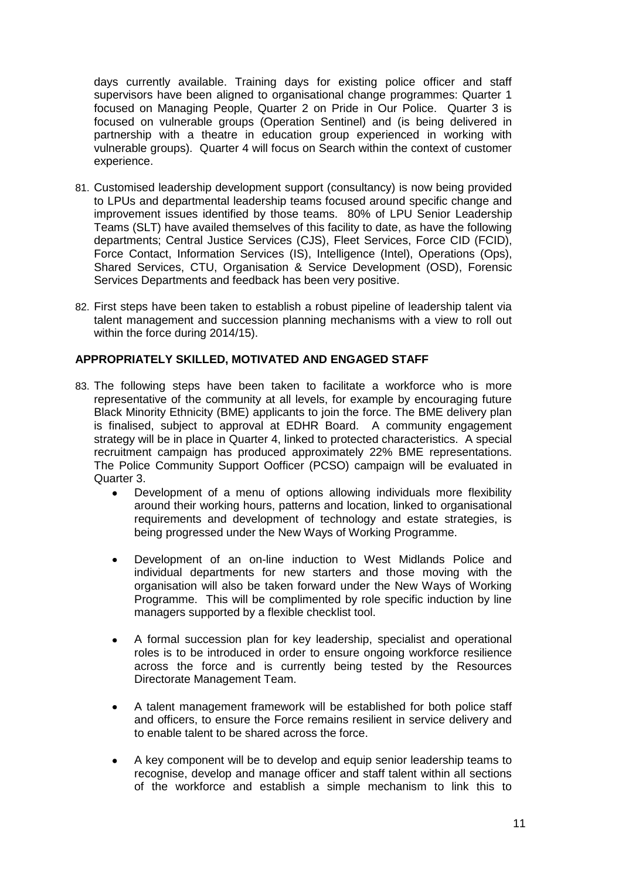days currently available. Training days for existing police officer and staff supervisors have been aligned to organisational change programmes: Quarter 1 focused on Managing People, Quarter 2 on Pride in Our Police. Quarter 3 is focused on vulnerable groups (Operation Sentinel) and (is being delivered in partnership with a theatre in education group experienced in working with vulnerable groups). Quarter 4 will focus on Search within the context of customer experience.

- 81. Customised leadership development support (consultancy) is now being provided to LPUs and departmental leadership teams focused around specific change and improvement issues identified by those teams. 80% of LPU Senior Leadership Teams (SLT) have availed themselves of this facility to date, as have the following departments; Central Justice Services (CJS), Fleet Services, Force CID (FCID), Force Contact, Information Services (IS), Intelligence (Intel), Operations (Ops), Shared Services, CTU, Organisation & Service Development (OSD), Forensic Services Departments and feedback has been very positive.
- 82. First steps have been taken to establish a robust pipeline of leadership talent via talent management and succession planning mechanisms with a view to roll out within the force during 2014/15).

## **APPROPRIATELY SKILLED, MOTIVATED AND ENGAGED STAFF**

- 83. The following steps have been taken to facilitate a workforce who is more representative of the community at all levels, for example by encouraging future Black Minority Ethnicity (BME) applicants to join the force. The BME delivery plan is finalised, subject to approval at EDHR Board. A community engagement strategy will be in place in Quarter 4, linked to protected characteristics. A special recruitment campaign has produced approximately 22% BME representations. The Police Community Support Oofficer (PCSO) campaign will be evaluated in Quarter 3.
	- Development of a menu of options allowing individuals more flexibility  $\bullet$ around their working hours, patterns and location, linked to organisational requirements and development of technology and estate strategies, is being progressed under the New Ways of Working Programme.
	- Development of an on-line induction to West Midlands Police and  $\bullet$ individual departments for new starters and those moving with the organisation will also be taken forward under the New Ways of Working Programme. This will be complimented by role specific induction by line managers supported by a flexible checklist tool.
	- A formal succession plan for key leadership, specialist and operational  $\bullet$ roles is to be introduced in order to ensure ongoing workforce resilience across the force and is currently being tested by the Resources Directorate Management Team.
	- A talent management framework will be established for both police staff  $\bullet$ and officers, to ensure the Force remains resilient in service delivery and to enable talent to be shared across the force.
	- A key component will be to develop and equip senior leadership teams to recognise, develop and manage officer and staff talent within all sections of the workforce and establish a simple mechanism to link this to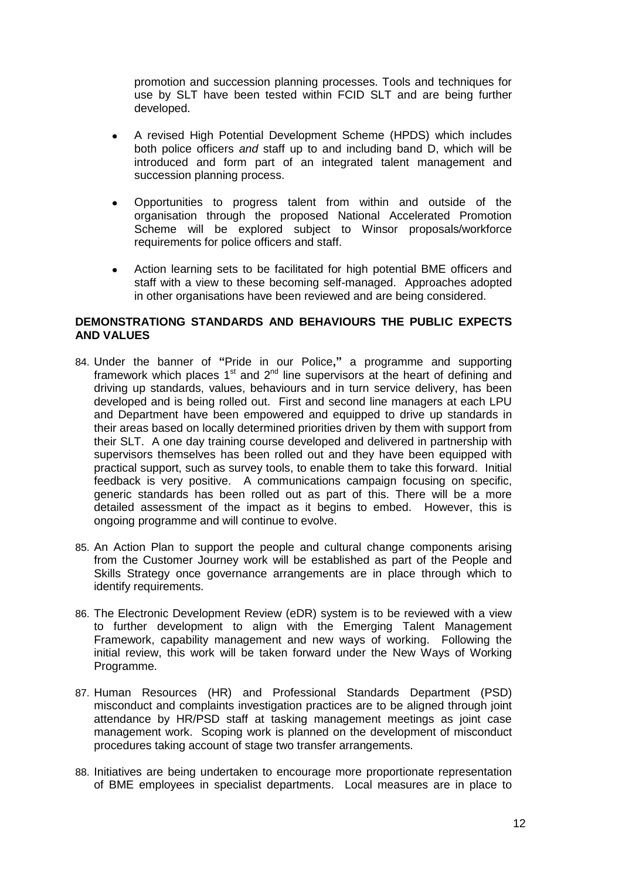promotion and succession planning processes. Tools and techniques for use by SLT have been tested within FCID SLT and are being further developed.

- A revised High Potential Development Scheme (HPDS) which includes both police officers *and* staff up to and including band D, which will be introduced and form part of an integrated talent management and succession planning process.
- Opportunities to progress talent from within and outside of the organisation through the proposed National Accelerated Promotion Scheme will be explored subject to Winsor proposals/workforce requirements for police officers and staff.
- $\bullet$ Action learning sets to be facilitated for high potential BME officers and staff with a view to these becoming self-managed. Approaches adopted in other organisations have been reviewed and are being considered.

## **DEMONSTRATIONG STANDARDS AND BEHAVIOURS THE PUBLIC EXPECTS AND VALUES**

- 84. Under the banner of **"**Pride in our Police**,"** a programme and supporting framework which places  $1<sup>st</sup>$  and  $2<sup>nd</sup>$  line supervisors at the heart of defining and driving up standards, values, behaviours and in turn service delivery, has been developed and is being rolled out. First and second line managers at each LPU and Department have been empowered and equipped to drive up standards in their areas based on locally determined priorities driven by them with support from their SLT. A one day training course developed and delivered in partnership with supervisors themselves has been rolled out and they have been equipped with practical support, such as survey tools, to enable them to take this forward. Initial feedback is very positive. A communications campaign focusing on specific, generic standards has been rolled out as part of this. There will be a more detailed assessment of the impact as it begins to embed. However, this is ongoing programme and will continue to evolve.
- 85. An Action Plan to support the people and cultural change components arising from the Customer Journey work will be established as part of the People and Skills Strategy once governance arrangements are in place through which to identify requirements.
- 86. The Electronic Development Review (eDR) system is to be reviewed with a view to further development to align with the Emerging Talent Management Framework, capability management and new ways of working. Following the initial review, this work will be taken forward under the New Ways of Working Programme.
- 87. Human Resources (HR) and Professional Standards Department (PSD) misconduct and complaints investigation practices are to be aligned through joint attendance by HR/PSD staff at tasking management meetings as joint case management work. Scoping work is planned on the development of misconduct procedures taking account of stage two transfer arrangements.
- 88. Initiatives are being undertaken to encourage more proportionate representation of BME employees in specialist departments. Local measures are in place to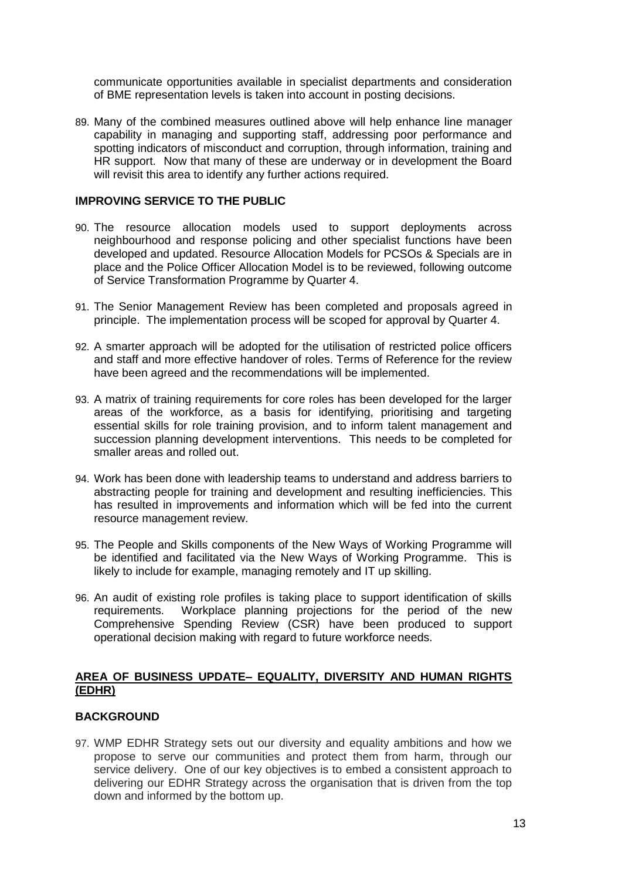communicate opportunities available in specialist departments and consideration of BME representation levels is taken into account in posting decisions.

89. Many of the combined measures outlined above will help enhance line manager capability in managing and supporting staff, addressing poor performance and spotting indicators of misconduct and corruption, through information, training and HR support. Now that many of these are underway or in development the Board will revisit this area to identify any further actions required.

### **IMPROVING SERVICE TO THE PUBLIC**

- 90. The resource allocation models used to support deployments across neighbourhood and response policing and other specialist functions have been developed and updated. Resource Allocation Models for PCSOs & Specials are in place and the Police Officer Allocation Model is to be reviewed, following outcome of Service Transformation Programme by Quarter 4.
- 91. The Senior Management Review has been completed and proposals agreed in principle. The implementation process will be scoped for approval by Quarter 4.
- 92. A smarter approach will be adopted for the utilisation of restricted police officers and staff and more effective handover of roles. Terms of Reference for the review have been agreed and the recommendations will be implemented.
- 93. A matrix of training requirements for core roles has been developed for the larger areas of the workforce, as a basis for identifying, prioritising and targeting essential skills for role training provision, and to inform talent management and succession planning development interventions. This needs to be completed for smaller areas and rolled out.
- 94. Work has been done with leadership teams to understand and address barriers to abstracting people for training and development and resulting inefficiencies. This has resulted in improvements and information which will be fed into the current resource management review.
- 95. The People and Skills components of the New Ways of Working Programme will be identified and facilitated via the New Ways of Working Programme. This is likely to include for example, managing remotely and IT up skilling.
- 96. An audit of existing role profiles is taking place to support identification of skills requirements. Workplace planning projections for the period of the new Comprehensive Spending Review (CSR) have been produced to support operational decision making with regard to future workforce needs.

### **AREA OF BUSINESS UPDATE– EQUALITY, DIVERSITY AND HUMAN RIGHTS (EDHR)**

## **BACKGROUND**

97. WMP EDHR Strategy sets out our diversity and equality ambitions and how we propose to serve our communities and protect them from harm, through our service delivery. One of our key objectives is to embed a consistent approach to delivering our EDHR Strategy across the organisation that is driven from the top down and informed by the bottom up.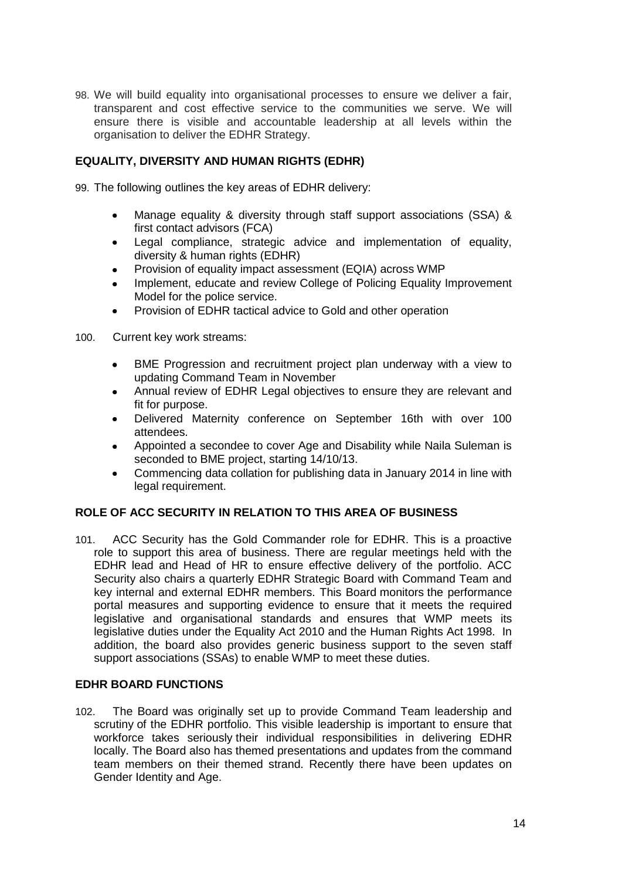98. We will build equality into organisational processes to ensure we deliver a fair, transparent and cost effective service to the communities we serve. We will ensure there is visible and accountable leadership at all levels within the organisation to deliver the EDHR Strategy.

## **EQUALITY, DIVERSITY AND HUMAN RIGHTS (EDHR)**

99. The following outlines the key areas of EDHR delivery:

- Manage equality & diversity through staff support associations (SSA) &  $\bullet$ first contact advisors (FCA)
- Legal compliance, strategic advice and implementation of equality, diversity & human rights (EDHR)
- Provision of equality impact assessment (EQIA) across WMP
- Implement, educate and review College of Policing Equality Improvement Model for the police service.
- Provision of EDHR tactical advice to Gold and other operation
- 100. Current key work streams:
	- BME Progression and recruitment project plan underway with a view to  $\bullet$ updating Command Team in November
	- Annual review of EDHR Legal objectives to ensure they are relevant and  $\bullet$ fit for purpose.
	- Delivered Maternity conference on September 16th with over 100 attendees.
	- Appointed a secondee to cover Age and Disability while Naila Suleman is  $\bullet$ seconded to BME project, starting 14/10/13.
	- Commencing data collation for publishing data in January 2014 in line with  $\bullet$ legal requirement.

## **ROLE OF ACC SECURITY IN RELATION TO THIS AREA OF BUSINESS**

101. ACC Security has the Gold Commander role for EDHR. This is a proactive role to support this area of business. There are regular meetings held with the EDHR lead and Head of HR to ensure effective delivery of the portfolio. ACC Security also chairs a quarterly EDHR Strategic Board with Command Team and key internal and external EDHR members. This Board monitors the performance portal measures and supporting evidence to ensure that it meets the required legislative and organisational standards and ensures that WMP meets its legislative duties under the Equality Act 2010 and the Human Rights Act 1998. In addition, the board also provides generic business support to the seven staff support associations (SSAs) to enable WMP to meet these duties.

## **EDHR BOARD FUNCTIONS**

102. The Board was originally set up to provide Command Team leadership and scrutiny of the EDHR portfolio. This visible leadership is important to ensure that workforce takes seriously their individual responsibilities in delivering EDHR locally. The Board also has themed presentations and updates from the command team members on their themed strand. Recently there have been updates on Gender Identity and Age.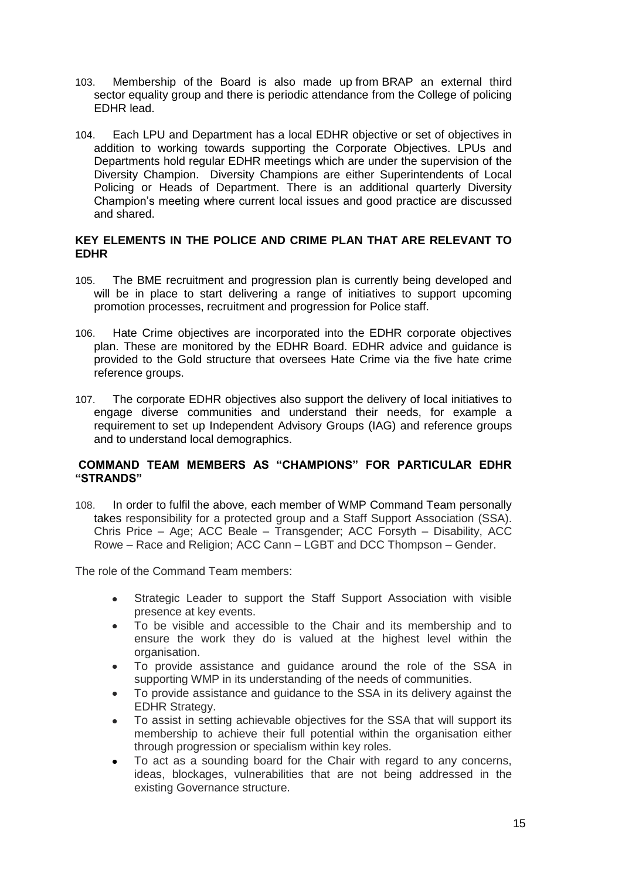- 103. Membership of the Board is also made up from BRAP an external third sector equality group and there is periodic attendance from the College of policing EDHR lead.
- 104. Each LPU and Department has a local EDHR objective or set of objectives in addition to working towards supporting the Corporate Objectives. LPUs and Departments hold regular EDHR meetings which are under the supervision of the Diversity Champion. Diversity Champions are either Superintendents of Local Policing or Heads of Department. There is an additional quarterly Diversity Champion's meeting where current local issues and good practice are discussed and shared.

## **KEY ELEMENTS IN THE POLICE AND CRIME PLAN THAT ARE RELEVANT TO EDHR**

- 105. The BME recruitment and progression plan is currently being developed and will be in place to start delivering a range of initiatives to support upcoming promotion processes, recruitment and progression for Police staff.
- 106. Hate Crime objectives are incorporated into the EDHR corporate objectives plan. These are monitored by the EDHR Board. EDHR advice and guidance is provided to the Gold structure that oversees Hate Crime via the five hate crime reference groups.
- 107. The corporate EDHR objectives also support the delivery of local initiatives to engage diverse communities and understand their needs, for example a requirement to set up Independent Advisory Groups (IAG) and reference groups and to understand local demographics.

## **COMMAND TEAM MEMBERS AS "CHAMPIONS" FOR PARTICULAR EDHR "STRANDS"**

108. In order to fulfil the above, each member of WMP Command Team personally takes responsibility for a protected group and a Staff Support Association (SSA). Chris Price – Age; ACC Beale – Transgender; ACC Forsyth – Disability, ACC Rowe – Race and Religion; ACC Cann – LGBT and DCC Thompson – Gender.

The role of the Command Team members:

- $\bullet$ Strategic Leader to support the Staff Support Association with visible presence at key events.
- To be visible and accessible to the Chair and its membership and to ensure the work they do is valued at the highest level within the organisation.
- To provide assistance and guidance around the role of the SSA in supporting WMP in its understanding of the needs of communities.
- To provide assistance and guidance to the SSA in its delivery against the EDHR Strategy.
- To assist in setting achievable objectives for the SSA that will support its  $\bullet$ membership to achieve their full potential within the organisation either through progression or specialism within key roles.
- To act as a sounding board for the Chair with regard to any concerns, ideas, blockages, vulnerabilities that are not being addressed in the existing Governance structure.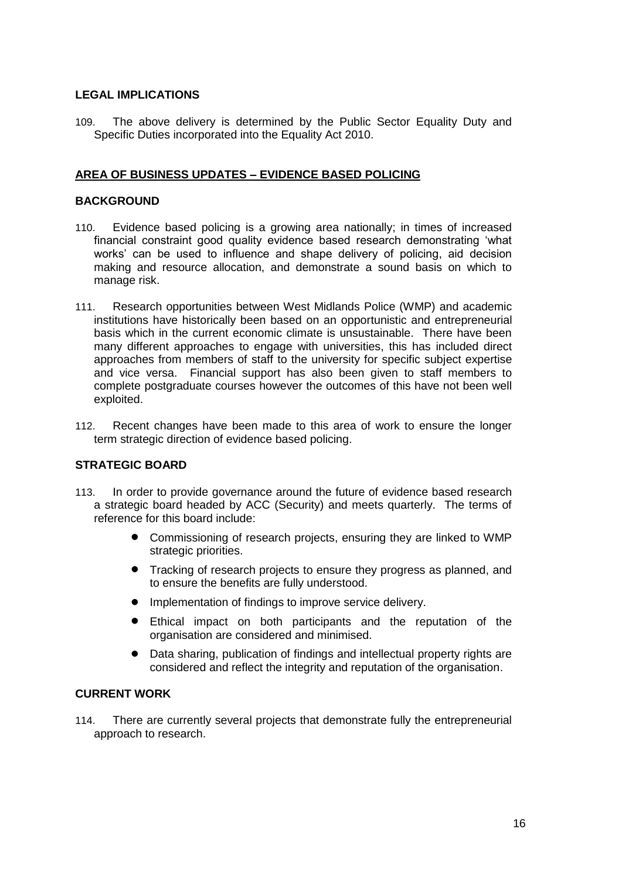### **LEGAL IMPLICATIONS**

109. The above delivery is determined by the Public Sector Equality Duty and Specific Duties incorporated into the Equality Act 2010.

## **AREA OF BUSINESS UPDATES – EVIDENCE BASED POLICING**

### **BACKGROUND**

- 110. Evidence based policing is a growing area nationally; in times of increased financial constraint good quality evidence based research demonstrating 'what works' can be used to influence and shape delivery of policing, aid decision making and resource allocation, and demonstrate a sound basis on which to manage risk.
- 111. Research opportunities between West Midlands Police (WMP) and academic institutions have historically been based on an opportunistic and entrepreneurial basis which in the current economic climate is unsustainable. There have been many different approaches to engage with universities, this has included direct approaches from members of staff to the university for specific subject expertise and vice versa. Financial support has also been given to staff members to complete postgraduate courses however the outcomes of this have not been well exploited.
- 112. Recent changes have been made to this area of work to ensure the longer term strategic direction of evidence based policing.

## **STRATEGIC BOARD**

- 113. In order to provide governance around the future of evidence based research a strategic board headed by ACC (Security) and meets quarterly. The terms of reference for this board include:
	- Commissioning of research projects, ensuring they are linked to WMP strategic priorities.
	- **•** Tracking of research projects to ensure they progress as planned, and to ensure the benefits are fully understood.
	- **•** Implementation of findings to improve service delivery.
	- Ethical impact on both participants and the reputation of the organisation are considered and minimised.
	- Data sharing, publication of findings and intellectual property rights are considered and reflect the integrity and reputation of the organisation.

### **CURRENT WORK**

114. There are currently several projects that demonstrate fully the entrepreneurial approach to research.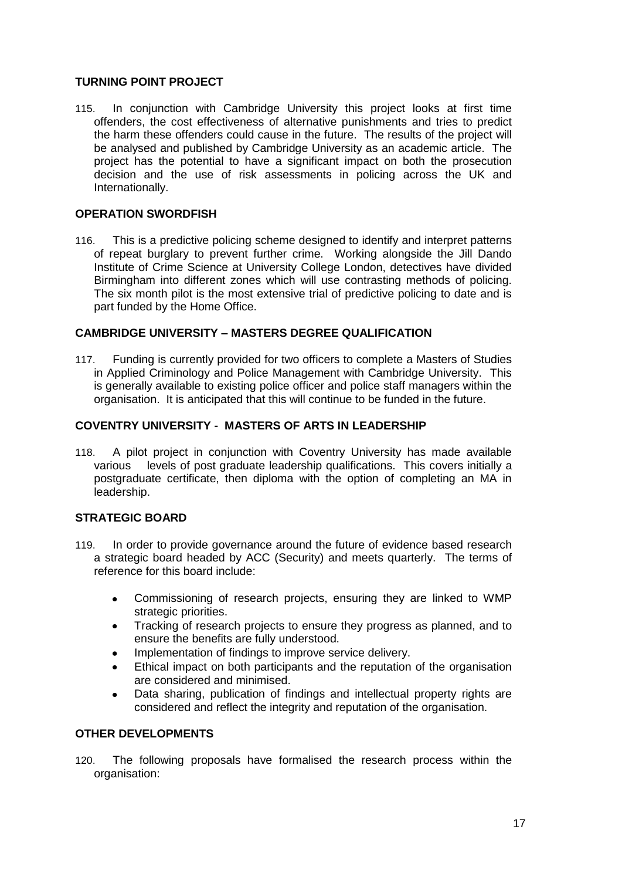## **TURNING POINT PROJECT**

115. In conjunction with Cambridge University this project looks at first time offenders, the cost effectiveness of alternative punishments and tries to predict the harm these offenders could cause in the future. The results of the project will be analysed and published by Cambridge University as an academic article. The project has the potential to have a significant impact on both the prosecution decision and the use of risk assessments in policing across the UK and Internationally.

## **OPERATION SWORDFISH**

116. This is a predictive policing scheme designed to identify and interpret patterns of repeat burglary to prevent further crime. Working alongside the Jill Dando Institute of Crime Science at University College London, detectives have divided Birmingham into different zones which will use contrasting methods of policing. The six month pilot is the most extensive trial of predictive policing to date and is part funded by the Home Office.

## **CAMBRIDGE UNIVERSITY – MASTERS DEGREE QUALIFICATION**

117. Funding is currently provided for two officers to complete a Masters of Studies in Applied Criminology and Police Management with Cambridge University. This is generally available to existing police officer and police staff managers within the organisation. It is anticipated that this will continue to be funded in the future.

## **COVENTRY UNIVERSITY - MASTERS OF ARTS IN LEADERSHIP**

118. A pilot project in conjunction with Coventry University has made available various levels of post graduate leadership qualifications. This covers initially a postgraduate certificate, then diploma with the option of completing an MA in leadership.

## **STRATEGIC BOARD**

- 119. In order to provide governance around the future of evidence based research a strategic board headed by ACC (Security) and meets quarterly. The terms of reference for this board include:
	- Commissioning of research projects, ensuring they are linked to WMP  $\bullet$ strategic priorities.
	- Tracking of research projects to ensure they progress as planned, and to  $\bullet$ ensure the benefits are fully understood.
	- Implementation of findings to improve service delivery.
	- Ethical impact on both participants and the reputation of the organisation are considered and minimised.
	- Data sharing, publication of findings and intellectual property rights are  $\bullet$ considered and reflect the integrity and reputation of the organisation.

## **OTHER DEVELOPMENTS**

120. The following proposals have formalised the research process within the organisation: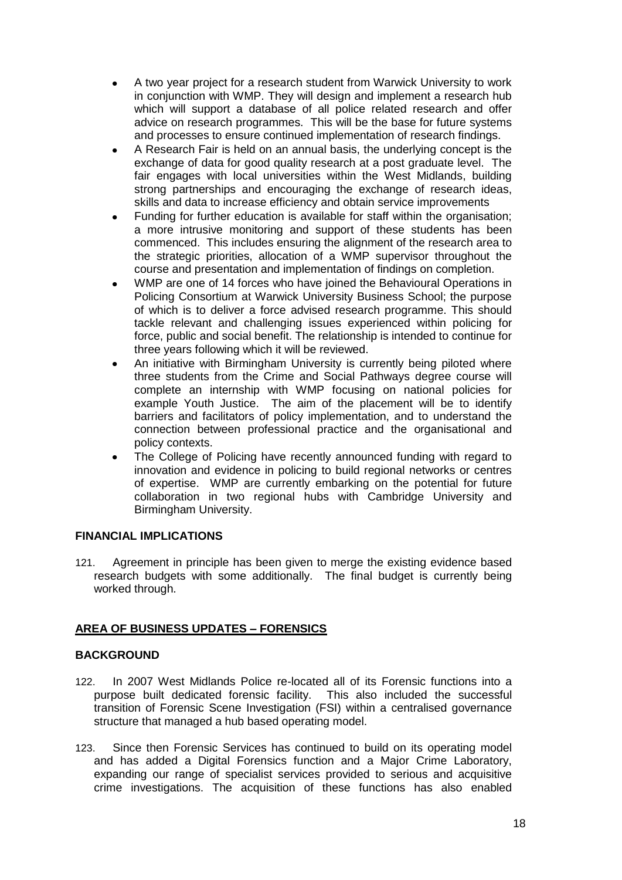- A two year project for a research student from Warwick University to work in conjunction with WMP. They will design and implement a research hub which will support a database of all police related research and offer advice on research programmes. This will be the base for future systems and processes to ensure continued implementation of research findings.
- A Research Fair is held on an annual basis, the underlying concept is the exchange of data for good quality research at a post graduate level. The fair engages with local universities within the West Midlands, building strong partnerships and encouraging the exchange of research ideas, skills and data to increase efficiency and obtain service improvements
- Funding for further education is available for staff within the organisation; a more intrusive monitoring and support of these students has been commenced. This includes ensuring the alignment of the research area to the strategic priorities, allocation of a WMP supervisor throughout the course and presentation and implementation of findings on completion.
- WMP are one of 14 forces who have joined the Behavioural Operations in Policing Consortium at Warwick University Business School; the purpose of which is to deliver a force advised research programme. This should tackle relevant and challenging issues experienced within policing for force, public and social benefit. The relationship is intended to continue for three years following which it will be reviewed.
- An initiative with Birmingham University is currently being piloted where three students from the Crime and Social Pathways degree course will complete an internship with WMP focusing on national policies for example Youth Justice. The aim of the placement will be to identify barriers and facilitators of policy implementation, and to understand the connection between professional practice and the organisational and policy contexts.
- The College of Policing have recently announced funding with regard to innovation and evidence in policing to build regional networks or centres of expertise. WMP are currently embarking on the potential for future collaboration in two regional hubs with Cambridge University and Birmingham University.

## **FINANCIAL IMPLICATIONS**

121. Agreement in principle has been given to merge the existing evidence based research budgets with some additionally. The final budget is currently being worked through.

## **AREA OF BUSINESS UPDATES – FORENSICS**

## **BACKGROUND**

- 122. In 2007 West Midlands Police re-located all of its Forensic functions into a purpose built dedicated forensic facility. This also included the successful transition of Forensic Scene Investigation (FSI) within a centralised governance structure that managed a hub based operating model.
- 123. Since then Forensic Services has continued to build on its operating model and has added a Digital Forensics function and a Major Crime Laboratory, expanding our range of specialist services provided to serious and acquisitive crime investigations. The acquisition of these functions has also enabled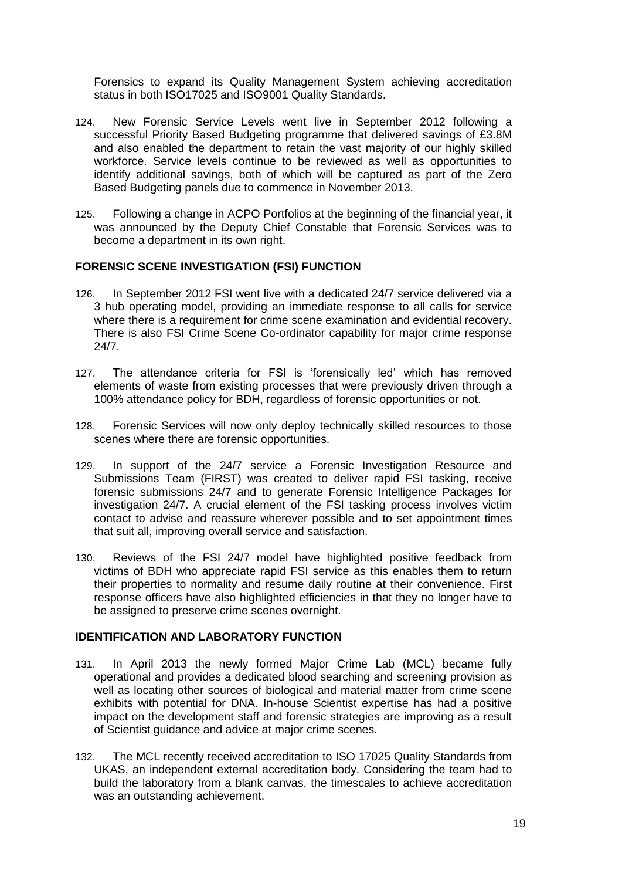Forensics to expand its Quality Management System achieving accreditation status in both ISO17025 and ISO9001 Quality Standards.

- 124. New Forensic Service Levels went live in September 2012 following a successful Priority Based Budgeting programme that delivered savings of £3.8M and also enabled the department to retain the vast majority of our highly skilled workforce. Service levels continue to be reviewed as well as opportunities to identify additional savings, both of which will be captured as part of the Zero Based Budgeting panels due to commence in November 2013.
- 125. Following a change in ACPO Portfolios at the beginning of the financial year, it was announced by the Deputy Chief Constable that Forensic Services was to become a department in its own right.

### **FORENSIC SCENE INVESTIGATION (FSI) FUNCTION**

- 126. In September 2012 FSI went live with a dedicated 24/7 service delivered via a 3 hub operating model, providing an immediate response to all calls for service where there is a requirement for crime scene examination and evidential recovery. There is also FSI Crime Scene Co-ordinator capability for major crime response 24/7.
- 127. The attendance criteria for FSI is 'forensically led' which has removed elements of waste from existing processes that were previously driven through a 100% attendance policy for BDH, regardless of forensic opportunities or not.
- 128. Forensic Services will now only deploy technically skilled resources to those scenes where there are forensic opportunities.
- 129. In support of the 24/7 service a Forensic Investigation Resource and Submissions Team (FIRST) was created to deliver rapid FSI tasking, receive forensic submissions 24/7 and to generate Forensic Intelligence Packages for investigation 24/7. A crucial element of the FSI tasking process involves victim contact to advise and reassure wherever possible and to set appointment times that suit all, improving overall service and satisfaction.
- 130. Reviews of the FSI 24/7 model have highlighted positive feedback from victims of BDH who appreciate rapid FSI service as this enables them to return their properties to normality and resume daily routine at their convenience. First response officers have also highlighted efficiencies in that they no longer have to be assigned to preserve crime scenes overnight.

### **IDENTIFICATION AND LABORATORY FUNCTION**

- 131. In April 2013 the newly formed Major Crime Lab (MCL) became fully operational and provides a dedicated blood searching and screening provision as well as locating other sources of biological and material matter from crime scene exhibits with potential for DNA. In-house Scientist expertise has had a positive impact on the development staff and forensic strategies are improving as a result of Scientist guidance and advice at major crime scenes.
- 132. The MCL recently received accreditation to ISO 17025 Quality Standards from UKAS, an independent external accreditation body. Considering the team had to build the laboratory from a blank canvas, the timescales to achieve accreditation was an outstanding achievement.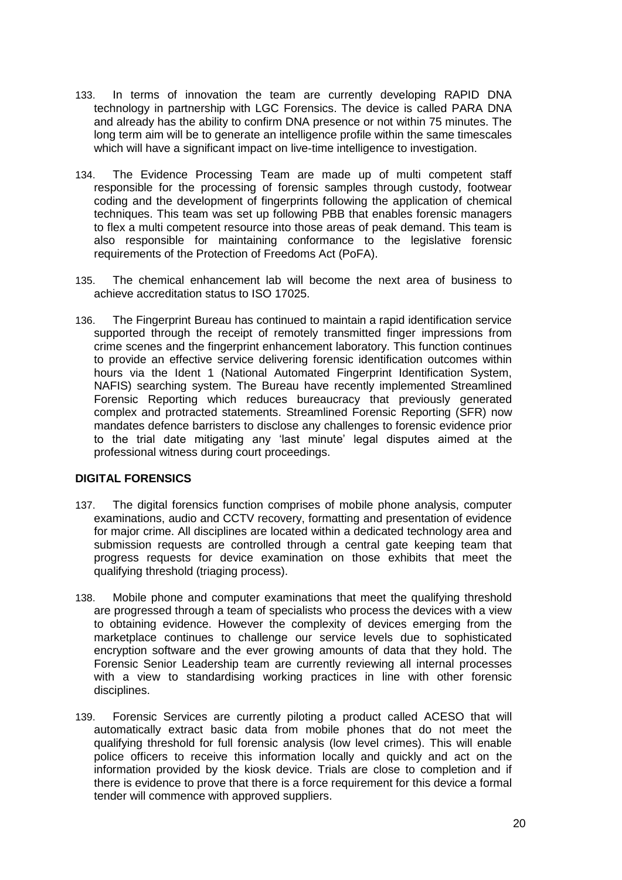- 133. In terms of innovation the team are currently developing RAPID DNA technology in partnership with LGC Forensics. The device is called PARA DNA and already has the ability to confirm DNA presence or not within 75 minutes. The long term aim will be to generate an intelligence profile within the same timescales which will have a significant impact on live-time intelligence to investigation.
- 134. The Evidence Processing Team are made up of multi competent staff responsible for the processing of forensic samples through custody, footwear coding and the development of fingerprints following the application of chemical techniques. This team was set up following PBB that enables forensic managers to flex a multi competent resource into those areas of peak demand. This team is also responsible for maintaining conformance to the legislative forensic requirements of the Protection of Freedoms Act (PoFA).
- 135. The chemical enhancement lab will become the next area of business to achieve accreditation status to ISO 17025.
- 136. The Fingerprint Bureau has continued to maintain a rapid identification service supported through the receipt of remotely transmitted finger impressions from crime scenes and the fingerprint enhancement laboratory. This function continues to provide an effective service delivering forensic identification outcomes within hours via the Ident 1 (National Automated Fingerprint Identification System, NAFIS) searching system. The Bureau have recently implemented Streamlined Forensic Reporting which reduces bureaucracy that previously generated complex and protracted statements. Streamlined Forensic Reporting (SFR) now mandates defence barristers to disclose any challenges to forensic evidence prior to the trial date mitigating any 'last minute' legal disputes aimed at the professional witness during court proceedings.

#### **DIGITAL FORENSICS**

- 137. The digital forensics function comprises of mobile phone analysis, computer examinations, audio and CCTV recovery, formatting and presentation of evidence for major crime. All disciplines are located within a dedicated technology area and submission requests are controlled through a central gate keeping team that progress requests for device examination on those exhibits that meet the qualifying threshold (triaging process).
- 138. Mobile phone and computer examinations that meet the qualifying threshold are progressed through a team of specialists who process the devices with a view to obtaining evidence. However the complexity of devices emerging from the marketplace continues to challenge our service levels due to sophisticated encryption software and the ever growing amounts of data that they hold. The Forensic Senior Leadership team are currently reviewing all internal processes with a view to standardising working practices in line with other forensic disciplines.
- 139. Forensic Services are currently piloting a product called ACESO that will automatically extract basic data from mobile phones that do not meet the qualifying threshold for full forensic analysis (low level crimes). This will enable police officers to receive this information locally and quickly and act on the information provided by the kiosk device. Trials are close to completion and if there is evidence to prove that there is a force requirement for this device a formal tender will commence with approved suppliers.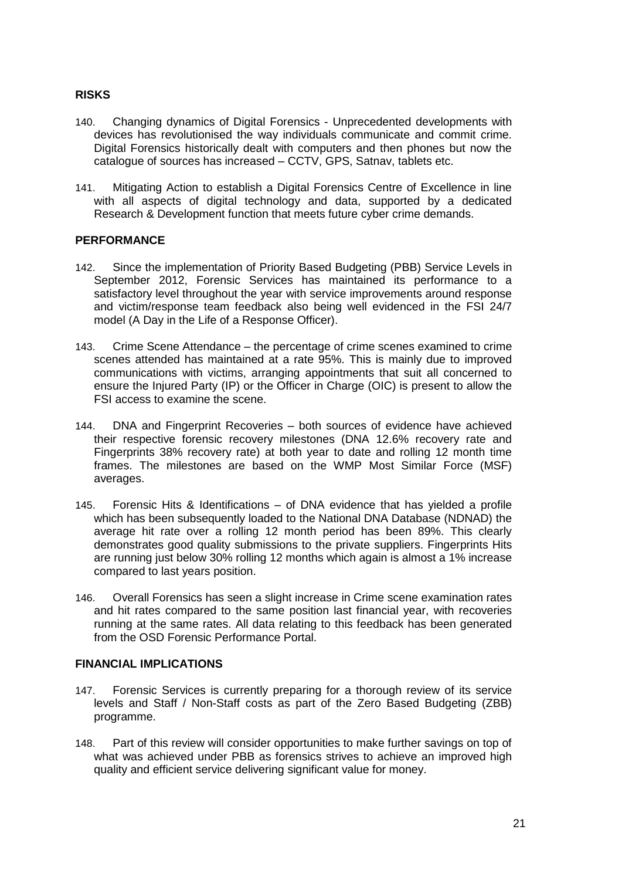## **RISKS**

- 140. Changing dynamics of Digital Forensics Unprecedented developments with devices has revolutionised the way individuals communicate and commit crime. Digital Forensics historically dealt with computers and then phones but now the catalogue of sources has increased – CCTV, GPS, Satnav, tablets etc.
- 141. Mitigating Action to establish a Digital Forensics Centre of Excellence in line with all aspects of digital technology and data, supported by a dedicated Research & Development function that meets future cyber crime demands.

## **PERFORMANCE**

- 142. Since the implementation of Priority Based Budgeting (PBB) Service Levels in September 2012, Forensic Services has maintained its performance to a satisfactory level throughout the year with service improvements around response and victim/response team feedback also being well evidenced in the FSI 24/7 model (A Day in the Life of a Response Officer).
- 143. Crime Scene Attendance the percentage of crime scenes examined to crime scenes attended has maintained at a rate 95%. This is mainly due to improved communications with victims, arranging appointments that suit all concerned to ensure the Injured Party (IP) or the Officer in Charge (OIC) is present to allow the FSI access to examine the scene.
- 144. DNA and Fingerprint Recoveries both sources of evidence have achieved their respective forensic recovery milestones (DNA 12.6% recovery rate and Fingerprints 38% recovery rate) at both year to date and rolling 12 month time frames. The milestones are based on the WMP Most Similar Force (MSF) averages.
- 145. Forensic Hits & Identifications of DNA evidence that has yielded a profile which has been subsequently loaded to the National DNA Database (NDNAD) the average hit rate over a rolling 12 month period has been 89%. This clearly demonstrates good quality submissions to the private suppliers. Fingerprints Hits are running just below 30% rolling 12 months which again is almost a 1% increase compared to last years position.
- 146. Overall Forensics has seen a slight increase in Crime scene examination rates and hit rates compared to the same position last financial year, with recoveries running at the same rates. All data relating to this feedback has been generated from the OSD Forensic Performance Portal.

## **FINANCIAL IMPLICATIONS**

- 147. Forensic Services is currently preparing for a thorough review of its service levels and Staff / Non-Staff costs as part of the Zero Based Budgeting (ZBB) programme.
- 148. Part of this review will consider opportunities to make further savings on top of what was achieved under PBB as forensics strives to achieve an improved high quality and efficient service delivering significant value for money.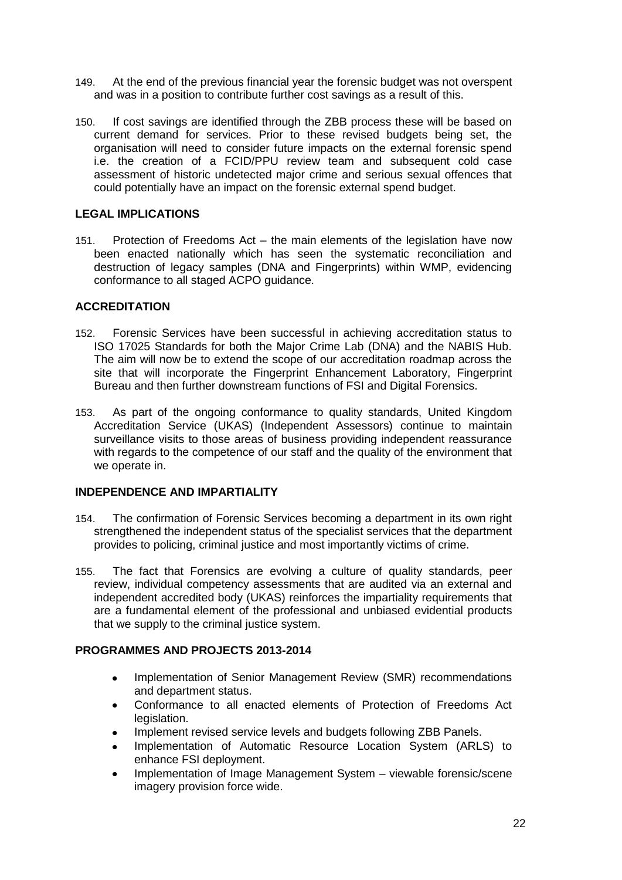- 149. At the end of the previous financial year the forensic budget was not overspent and was in a position to contribute further cost savings as a result of this.
- 150. If cost savings are identified through the ZBB process these will be based on current demand for services. Prior to these revised budgets being set, the organisation will need to consider future impacts on the external forensic spend i.e. the creation of a FCID/PPU review team and subsequent cold case assessment of historic undetected major crime and serious sexual offences that could potentially have an impact on the forensic external spend budget.

## **LEGAL IMPLICATIONS**

151. Protection of Freedoms Act – the main elements of the legislation have now been enacted nationally which has seen the systematic reconciliation and destruction of legacy samples (DNA and Fingerprints) within WMP, evidencing conformance to all staged ACPO guidance.

## **ACCREDITATION**

- 152. Forensic Services have been successful in achieving accreditation status to ISO 17025 Standards for both the Major Crime Lab (DNA) and the NABIS Hub. The aim will now be to extend the scope of our accreditation roadmap across the site that will incorporate the Fingerprint Enhancement Laboratory, Fingerprint Bureau and then further downstream functions of FSI and Digital Forensics.
- 153. As part of the ongoing conformance to quality standards, United Kingdom Accreditation Service (UKAS) (Independent Assessors) continue to maintain surveillance visits to those areas of business providing independent reassurance with regards to the competence of our staff and the quality of the environment that we operate in.

## **INDEPENDENCE AND IMPARTIALITY**

- 154. The confirmation of Forensic Services becoming a department in its own right strengthened the independent status of the specialist services that the department provides to policing, criminal justice and most importantly victims of crime.
- 155. The fact that Forensics are evolving a culture of quality standards, peer review, individual competency assessments that are audited via an external and independent accredited body (UKAS) reinforces the impartiality requirements that are a fundamental element of the professional and unbiased evidential products that we supply to the criminal justice system.

## **PROGRAMMES AND PROJECTS 2013-2014**

- Implementation of Senior Management Review (SMR) recommendations  $\bullet$ and department status.
- Conformance to all enacted elements of Protection of Freedoms Act legislation.
- Implement revised service levels and budgets following ZBB Panels.
- Implementation of Automatic Resource Location System (ARLS) to enhance FSI deployment.
- Implementation of Image Management System viewable forensic/scene imagery provision force wide.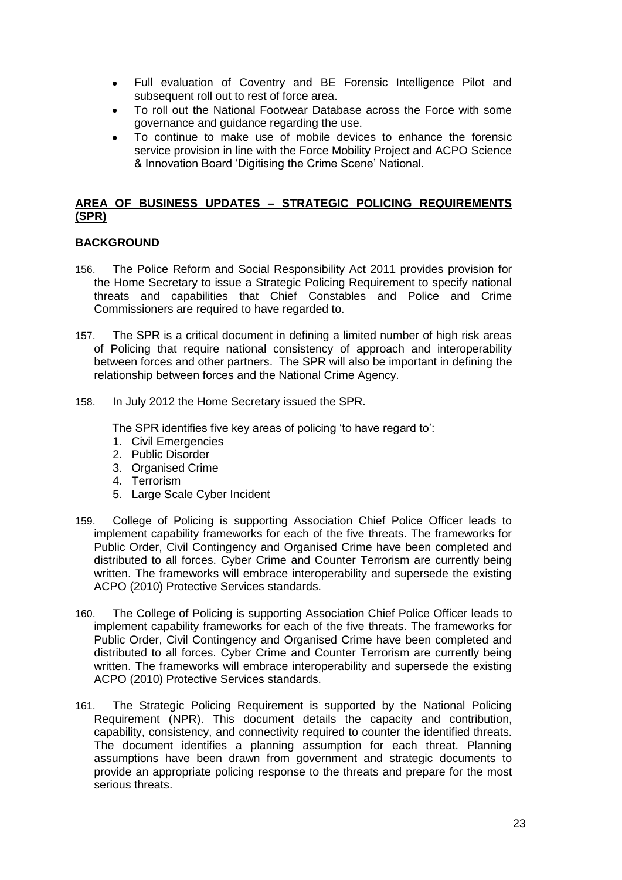- $\bullet$ Full evaluation of Coventry and BE Forensic Intelligence Pilot and subsequent roll out to rest of force area.
- To roll out the National Footwear Database across the Force with some  $\bullet$ governance and guidance regarding the use.
- To continue to make use of mobile devices to enhance the forensic service provision in line with the Force Mobility Project and ACPO Science & Innovation Board 'Digitising the Crime Scene' National.

## **AREA OF BUSINESS UPDATES – STRATEGIC POLICING REQUIREMENTS (SPR)**

### **BACKGROUND**

- 156. The Police Reform and Social Responsibility Act 2011 provides provision for the Home Secretary to issue a Strategic Policing Requirement to specify national threats and capabilities that Chief Constables and Police and Crime Commissioners are required to have regarded to.
- 157. The SPR is a critical document in defining a limited number of high risk areas of Policing that require national consistency of approach and interoperability between forces and other partners. The SPR will also be important in defining the relationship between forces and the National Crime Agency.
- 158. In July 2012 the Home Secretary issued the SPR.

The SPR identifies five key areas of policing 'to have regard to':

- 1. Civil Emergencies
- 2. Public Disorder
- 3. Organised Crime
- 4. Terrorism
- 5. Large Scale Cyber Incident
- 159. College of Policing is supporting Association Chief Police Officer leads to implement capability frameworks for each of the five threats. The frameworks for Public Order, Civil Contingency and Organised Crime have been completed and distributed to all forces. Cyber Crime and Counter Terrorism are currently being written. The frameworks will embrace interoperability and supersede the existing ACPO (2010) Protective Services standards.
- 160. The College of Policing is supporting Association Chief Police Officer leads to implement capability frameworks for each of the five threats. The frameworks for Public Order, Civil Contingency and Organised Crime have been completed and distributed to all forces. Cyber Crime and Counter Terrorism are currently being written. The frameworks will embrace interoperability and supersede the existing ACPO (2010) Protective Services standards.
- 161. The Strategic Policing Requirement is supported by the National Policing Requirement (NPR). This document details the capacity and contribution, capability, consistency, and connectivity required to counter the identified threats. The document identifies a planning assumption for each threat. Planning assumptions have been drawn from government and strategic documents to provide an appropriate policing response to the threats and prepare for the most serious threats.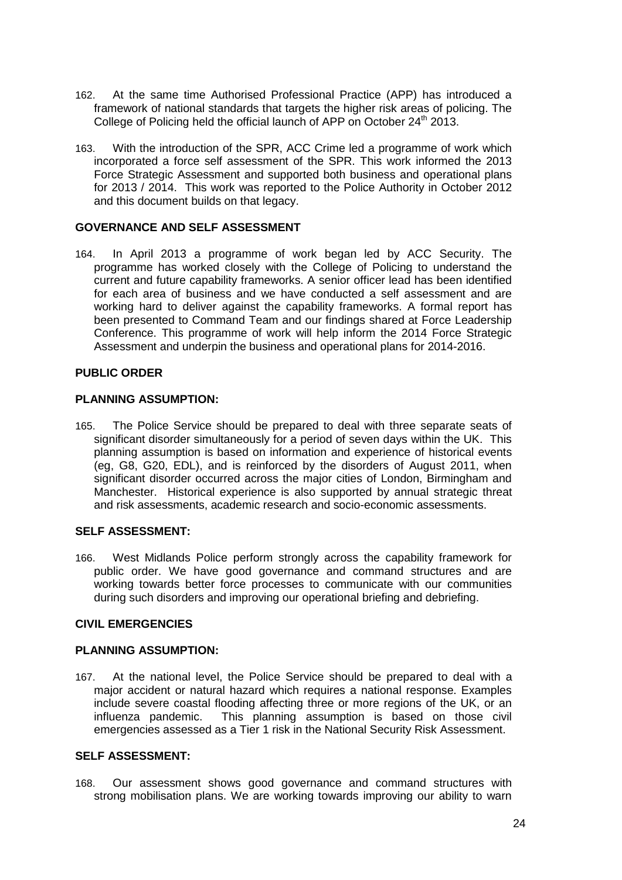- 162. At the same time Authorised Professional Practice (APP) has introduced a framework of national standards that targets the higher risk areas of policing. The College of Policing held the official launch of APP on October 24<sup>th</sup> 2013.
- 163. With the introduction of the SPR, ACC Crime led a programme of work which incorporated a force self assessment of the SPR. This work informed the 2013 Force Strategic Assessment and supported both business and operational plans for 2013 / 2014. This work was reported to the Police Authority in October 2012 and this document builds on that legacy.

### **GOVERNANCE AND SELF ASSESSMENT**

164. In April 2013 a programme of work began led by ACC Security. The programme has worked closely with the College of Policing to understand the current and future capability frameworks. A senior officer lead has been identified for each area of business and we have conducted a self assessment and are working hard to deliver against the capability frameworks. A formal report has been presented to Command Team and our findings shared at Force Leadership Conference. This programme of work will help inform the 2014 Force Strategic Assessment and underpin the business and operational plans for 2014-2016.

### **PUBLIC ORDER**

### **PLANNING ASSUMPTION:**

165. The Police Service should be prepared to deal with three separate seats of significant disorder simultaneously for a period of seven days within the UK. This planning assumption is based on information and experience of historical events (eg, G8, G20, EDL), and is reinforced by the disorders of August 2011, when significant disorder occurred across the major cities of London, Birmingham and Manchester. Historical experience is also supported by annual strategic threat and risk assessments, academic research and socio-economic assessments.

## **SELF ASSESSMENT:**

166. West Midlands Police perform strongly across the capability framework for public order. We have good governance and command structures and are working towards better force processes to communicate with our communities during such disorders and improving our operational briefing and debriefing.

## **CIVIL EMERGENCIES**

### **PLANNING ASSUMPTION:**

167. At the national level, the Police Service should be prepared to deal with a major accident or natural hazard which requires a national response. Examples include severe coastal flooding affecting three or more regions of the UK, or an influenza pandemic. This planning assumption is based on those civil emergencies assessed as a Tier 1 risk in the National Security Risk Assessment.

### **SELF ASSESSMENT:**

168. Our assessment shows good governance and command structures with strong mobilisation plans. We are working towards improving our ability to warn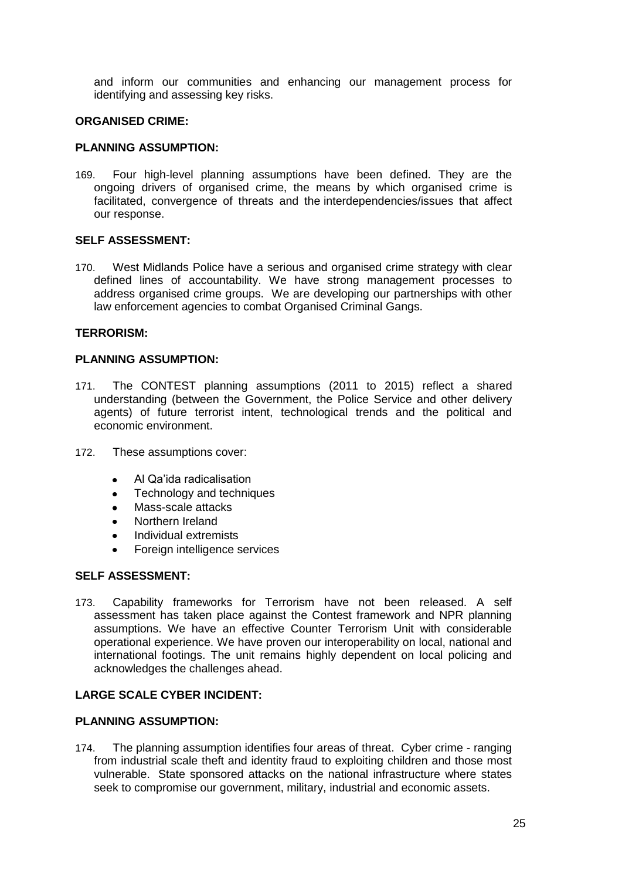and inform our communities and enhancing our management process for identifying and assessing key risks.

### **ORGANISED CRIME:**

### **PLANNING ASSUMPTION:**

169. Four high-level planning assumptions have been defined. They are the ongoing drivers of organised crime, the means by which organised crime is facilitated, convergence of threats and the interdependencies/issues that affect our response.

### **SELF ASSESSMENT:**

170. West Midlands Police have a serious and organised crime strategy with clear defined lines of accountability. We have strong management processes to address organised crime groups. We are developing our partnerships with other law enforcement agencies to combat Organised Criminal Gangs.

#### **TERRORISM:**

### **PLANNING ASSUMPTION:**

- 171. The CONTEST planning assumptions (2011 to 2015) reflect a shared understanding (between the Government, the Police Service and other delivery agents) of future terrorist intent, technological trends and the political and economic environment.
- 172. These assumptions cover:
	- Al Qa'ida radicalisation
	- Technology and techniques
	- Mass-scale attacks
	- Northern Ireland
	- Individual extremists
	- Foreign intelligence services

## **SELF ASSESSMENT:**

173. Capability frameworks for Terrorism have not been released. A self assessment has taken place against the Contest framework and NPR planning assumptions. We have an effective Counter Terrorism Unit with considerable operational experience. We have proven our interoperability on local, national and international footings. The unit remains highly dependent on local policing and acknowledges the challenges ahead.

## **LARGE SCALE CYBER INCIDENT:**

#### **PLANNING ASSUMPTION:**

174. The planning assumption identifies four areas of threat. Cyber crime - ranging from industrial scale theft and identity fraud to exploiting children and those most vulnerable. State sponsored attacks on the national infrastructure where states seek to compromise our government, military, industrial and economic assets.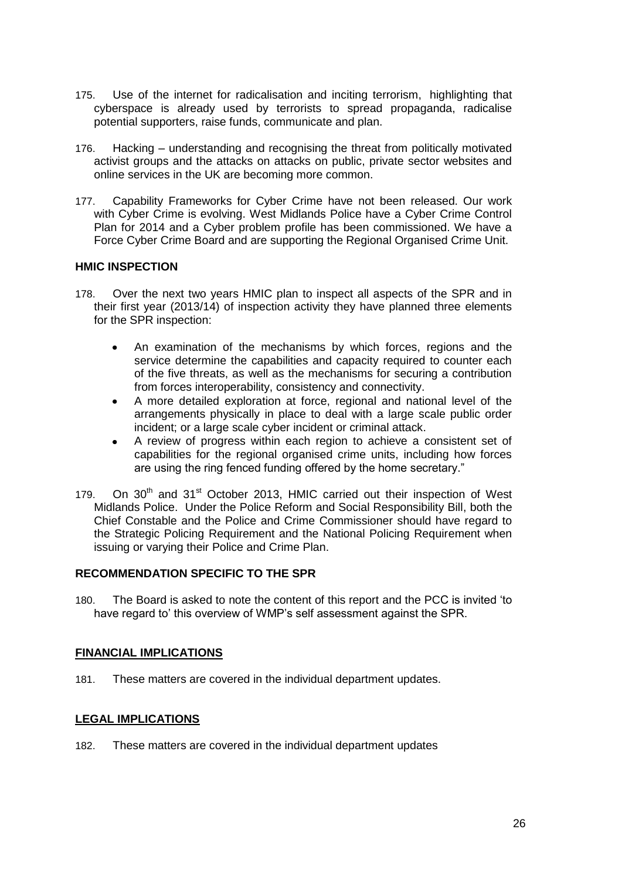- 175. Use of the internet for radicalisation and inciting terrorism, highlighting that cyberspace is already used by terrorists to spread propaganda, radicalise potential supporters, raise funds, communicate and plan.
- 176. Hacking understanding and recognising the threat from politically motivated activist groups and the attacks on attacks on public, private sector websites and online services in the UK are becoming more common.
- 177. Capability Frameworks for Cyber Crime have not been released. Our work with Cyber Crime is evolving. West Midlands Police have a Cyber Crime Control Plan for 2014 and a Cyber problem profile has been commissioned. We have a Force Cyber Crime Board and are supporting the Regional Organised Crime Unit.

### **HMIC INSPECTION**

- 178. Over the next two years HMIC plan to inspect all aspects of the SPR and in their first year (2013/14) of inspection activity they have planned three elements for the SPR inspection:
	- An examination of the mechanisms by which forces, regions and the  $\bullet$ service determine the capabilities and capacity required to counter each of the five threats, as well as the mechanisms for securing a contribution from forces interoperability, consistency and connectivity.
	- A more detailed exploration at force, regional and national level of the  $\bullet$ arrangements physically in place to deal with a large scale public order incident; or a large scale cyber incident or criminal attack.
	- A review of progress within each region to achieve a consistent set of  $\bullet$ capabilities for the regional organised crime units, including how forces are using the ring fenced funding offered by the home secretary."
- 179. On  $30<sup>th</sup>$  and  $31<sup>st</sup>$  October 2013, HMIC carried out their inspection of West Midlands Police. Under the Police Reform and Social Responsibility Bill, both the Chief Constable and the Police and Crime Commissioner should have regard to the Strategic Policing Requirement and the National Policing Requirement when issuing or varying their Police and Crime Plan.

#### **RECOMMENDATION SPECIFIC TO THE SPR**

180. The Board is asked to note the content of this report and the PCC is invited 'to have regard to' this overview of WMP's self assessment against the SPR.

#### **FINANCIAL IMPLICATIONS**

181. These matters are covered in the individual department updates.

## **LEGAL IMPLICATIONS**

182. These matters are covered in the individual department updates